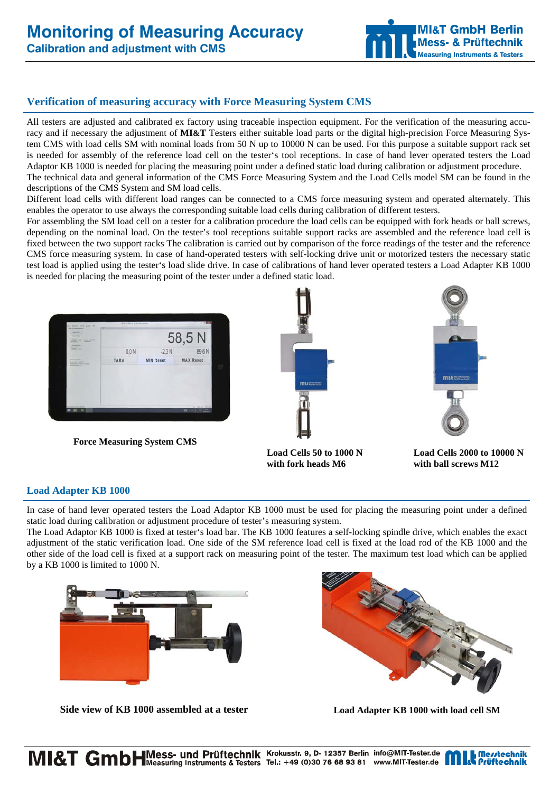# **Monitoring of Measuring Accuracy**

**Calibration and adjustment with CMS** 



## **Verification of measuring accuracy with Force Measuring System CMS**

All testers are adjusted and calibrated ex factory using traceable inspection equipment. For the verification of the measuring accuracy and if necessary the adjustment of **MI&T** Testers either suitable load parts or the digital high-precision Force Measuring System CMS with load cells SM with nominal loads from 50 N up to 10000 N can be used. For this purpose a suitable support rack set is needed for assembly of the reference load cell on the tester's tool receptions. In case of hand lever operated testers the Load Adaptor KB 1000 is needed for placing the measuring point under a defined static load during calibration or adjustment procedure. The technical data and general information of the CMS Force Measuring System and the Load Cells model SM can be found in the descriptions of the CMS System and SM load cells.

Different load cells with different load ranges can be connected to a CMS force measuring system and operated alternately. This enables the operator to use always the corresponding suitable load cells during calibration of different testers.

For assembling the SM load cell on a tester for a calibration procedure the load cells can be equipped with fork heads or ball screws, depending on the nominal load. On the tester's tool receptions suitable support racks are assembled and the reference load cell is fixed between the two support racks The calibration is carried out by comparison of the force readings of the tester and the reference CMS force measuring system. In case of hand-operated testers with self-locking drive unit or motorized testers the necessary static test load is applied using the tester's load slide drive. In case of calibrations of hand lever operated testers a Load Adapter KB 1000 is needed for placing the measuring point of the tester under a defined static load.



**Force Measuring System CMS**





with fork heads M6 with ball screws M12

**Load Cells 50 to 1000 N Load Cells 2000 to 10000 N** 

#### **Load Adapter KB 1000**

In case of hand lever operated testers the Load Adaptor KB 1000 must be used for placing the measuring point under a defined static load during calibration or adjustment procedure of tester's measuring system.

The Load Adaptor KB 1000 is fixed at tester's load bar. The KB 1000 features a self-locking spindle drive, which enables the exact adjustment of the static verification load. One side of the SM reference load cell is fixed at the load rod of the KB 1000 and the other side of the load cell is fixed at a support rack on measuring point of the tester. The maximum test load which can be applied by a KB 1000 is limited to 1000 N.



Side view of KB 1000 assembled at a tester Load Adapter KB 1000 with load cell SM